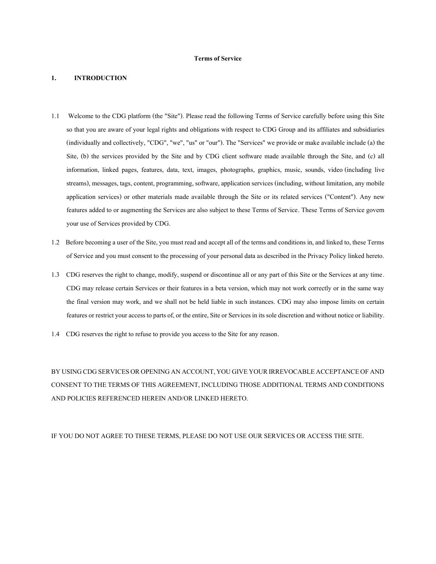#### **Terms of Service**

### **1. INTRODUCTION**

- 1.1 Welcome to the CDG platform (the "Site"). Please read the following Terms of Service carefully before using this Site so that you are aware of your legal rights and obligations with respect to CDG Group and its affiliates and subsidiaries (individually and collectively, "CDG", "we", "us" or "our"). The "Services" we provide or make available include (a) the Site, (b) the services provided by the Site and by CDG client software made available through the Site, and (c) all information, linked pages, features, data, text, images, photographs, graphics, music, sounds, video (including live streams), messages, tags, content, programming, software, application services (including, without limitation, any mobile application services) or other materials made available through the Site or its related services ("Content"). Any new features added to or augmenting the Services are also subject to these Terms of Service. These Terms of Service govern your use of Services provided by CDG.
- 1.2 Before becoming a user of the Site, you must read and accept all of the terms and conditions in, and linked to, these Terms of Service and you must consent to the processing of your personal data as described in the Privacy Policy linked hereto.
- 1.3 CDG reserves the right to change, modify, suspend or discontinue all or any part of this Site or the Services at any time. CDG may release certain Services or their features in a beta version, which may not work correctly or in the same way the final version may work, and we shall not be held liable in such instances. CDG may also impose limits on certain features or restrict your access to parts of, or the entire, Site or Services in its sole discretion and without notice or liability.
- 1.4 CDG reserves the right to refuse to provide you access to the Site for any reason.

BY USING CDG SERVICES OR OPENING AN ACCOUNT, YOU GIVE YOUR IRREVOCABLE ACCEPTANCE OF AND CONSENT TO THE TERMS OF THIS AGREEMENT, INCLUDING THOSE ADDITIONAL TERMS AND CONDITIONS AND POLICIES REFERENCED HEREIN AND/OR LINKED HERETO.

IF YOU DO NOT AGREE TO THESE TERMS, PLEASE DO NOT USE OUR SERVICES OR ACCESS THE SITE.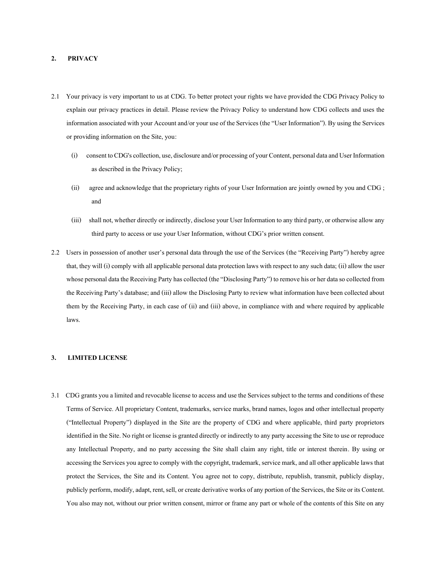### **2. PRIVACY**

- 2.1 Your privacy is very important to us at CDG. To better protect your rights we have provided the CDG Privacy Policy to explain our privacy practices in detail. Please review the Privacy Policy to understand how CDG collects and uses the information associated with your Account and/or your use of the Services (the "User Information"). By using the Services or providing information on the Site, you:
	- (i) consent to CDG's collection, use, disclosure and/or processing of your Content, personal data and User Information as described in the Privacy Policy;
	- (ii) agree and acknowledge that the proprietary rights of your User Information are jointly owned by you and CDG ; and
	- (iii) shall not, whether directly or indirectly, disclose your User Information to any third party, or otherwise allow any third party to access or use your User Information, without CDG's prior written consent.
- 2.2 Users in possession of another user's personal data through the use of the Services (the "Receiving Party") hereby agree that, they will (i) comply with all applicable personal data protection laws with respect to any such data; (ii) allow the user whose personal data the Receiving Party has collected (the "Disclosing Party") to remove his or her data so collected from the Receiving Party's database; and (iii) allow the Disclosing Party to review what information have been collected about them by the Receiving Party, in each case of (ii) and (iii) above, in compliance with and where required by applicable laws.

### **3. LIMITED LICENSE**

3.1 CDG grants you a limited and revocable license to access and use the Services subject to the terms and conditions of these Terms of Service. All proprietary Content, trademarks, service marks, brand names, logos and other intellectual property ("Intellectual Property") displayed in the Site are the property of CDG and where applicable, third party proprietors identified in the Site. No right or license is granted directly or indirectly to any party accessing the Site to use or reproduce any Intellectual Property, and no party accessing the Site shall claim any right, title or interest therein. By using or accessing the Services you agree to comply with the copyright, trademark, service mark, and all other applicable laws that protect the Services, the Site and its Content. You agree not to copy, distribute, republish, transmit, publicly display, publicly perform, modify, adapt, rent, sell, or create derivative works of any portion of the Services, the Site or its Content. You also may not, without our prior written consent, mirror or frame any part or whole of the contents of this Site on any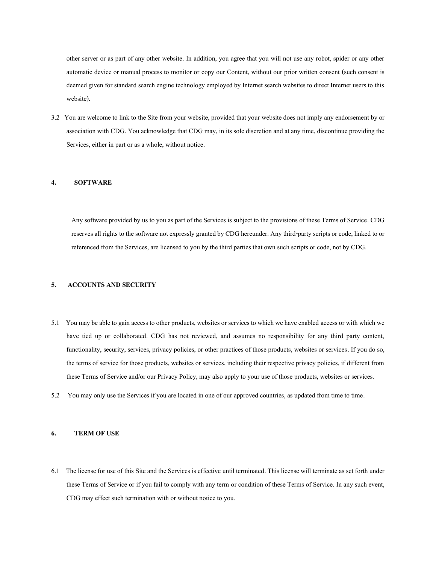other server or as part of any other website. In addition, you agree that you will not use any robot, spider or any other automatic device or manual process to monitor or copy our Content, without our prior written consent (such consent is deemed given for standard search engine technology employed by Internet search websites to direct Internet users to this website).

3.2 You are welcome to link to the Site from your website, provided that your website does not imply any endorsement by or association with CDG. You acknowledge that CDG may, in its sole discretion and at any time, discontinue providing the Services, either in part or as a whole, without notice.

#### **4. SOFTWARE**

Any software provided by us to you as part of the Services is subject to the provisions of these Terms of Service. CDG reserves all rights to the software not expressly granted by CDG hereunder. Any third-party scripts or code, linked to or referenced from the Services, are licensed to you by the third parties that own such scripts or code, not by CDG.

### **5. ACCOUNTS AND SECURITY**

- 5.1 You may be able to gain access to other products, websites or services to which we have enabled access or with which we have tied up or collaborated. CDG has not reviewed, and assumes no responsibility for any third party content, functionality, security, services, privacy policies, or other practices of those products, websites or services. If you do so, the terms of service for those products, websites or services, including their respective privacy policies, if different from these Terms of Service and/or our Privacy Policy, may also apply to your use of those products, websites or services.
- 5.2 You may only use the Services if you are located in one of our approved countries, as updated from time to time.

### **6. TERM OF USE**

6.1 The license for use of this Site and the Services is effective until terminated. This license will terminate as set forth under these Terms of Service or if you fail to comply with any term or condition of these Terms of Service. In any such event, CDG may effect such termination with or without notice to you.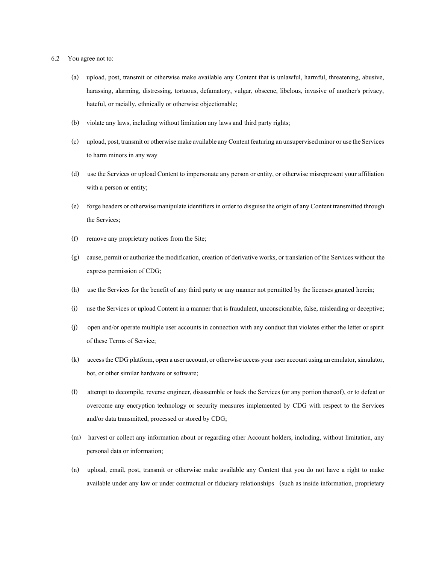- 6.2 You agree not to:
	- (a) upload, post, transmit or otherwise make available any Content that is unlawful, harmful, threatening, abusive, harassing, alarming, distressing, tortuous, defamatory, vulgar, obscene, libelous, invasive of another's privacy, hateful, or racially, ethnically or otherwise objectionable;
	- (b) violate any laws, including without limitation any laws and third party rights;
	- (c) upload, post, transmit or otherwise make available any Content featuring an unsupervised minor or use the Services to harm minors in any way
	- (d) use the Services or upload Content to impersonate any person or entity, or otherwise misrepresent your affiliation with a person or entity;
	- (e) forge headers or otherwise manipulate identifiers in order to disguise the origin of any Content transmitted through the Services;
	- (f) remove any proprietary notices from the Site;
	- (g) cause, permit or authorize the modification, creation of derivative works, or translation of the Services without the express permission of CDG;
	- (h) use the Services for the benefit of any third party or any manner not permitted by the licenses granted herein;
	- (i) use the Services or upload Content in a manner that is fraudulent, unconscionable, false, misleading or deceptive;
	- (j) open and/or operate multiple user accounts in connection with any conduct that violates either the letter or spirit of these Terms of Service;
	- (k) access the CDG platform, open a user account, or otherwise access your user account using an emulator, simulator, bot, or other similar hardware or software;
	- (l) attempt to decompile, reverse engineer, disassemble or hack the Services (or any portion thereof), or to defeat or overcome any encryption technology or security measures implemented by CDG with respect to the Services and/or data transmitted, processed or stored by CDG;
	- (m) harvest or collect any information about or regarding other Account holders, including, without limitation, any personal data or information;
	- (n) upload, email, post, transmit or otherwise make available any Content that you do not have a right to make available under any law or under contractual or fiduciary relationships (such as inside information, proprietary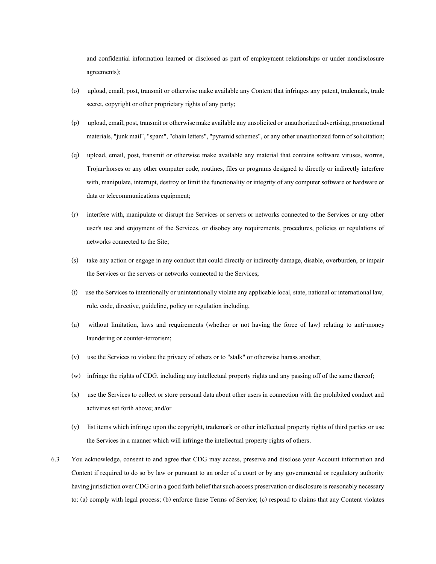and confidential information learned or disclosed as part of employment relationships or under nondisclosure agreements);

- (o) upload, email, post, transmit or otherwise make available any Content that infringes any patent, trademark, trade secret, copyright or other proprietary rights of any party;
- (p) upload, email, post, transmit or otherwise make available any unsolicited or unauthorized advertising, promotional materials, "junk mail", "spam", "chain letters", "pyramid schemes", or any other unauthorized form of solicitation;
- (q) upload, email, post, transmit or otherwise make available any material that contains software viruses, worms, Trojan-horses or any other computer code, routines, files or programs designed to directly or indirectly interfere with, manipulate, interrupt, destroy or limit the functionality or integrity of any computer software or hardware or data or telecommunications equipment;
- (r) interfere with, manipulate or disrupt the Services or servers or networks connected to the Services or any other user's use and enjoyment of the Services, or disobey any requirements, procedures, policies or regulations of networks connected to the Site;
- (s) take any action or engage in any conduct that could directly or indirectly damage, disable, overburden, or impair the Services or the servers or networks connected to the Services;
- (t) use the Services to intentionally or unintentionally violate any applicable local, state, national or international law, rule, code, directive, guideline, policy or regulation including,
- (u) without limitation, laws and requirements (whether or not having the force of law) relating to anti-money laundering or counter-terrorism;
- (v) use the Services to violate the privacy of others or to "stalk" or otherwise harass another;
- (w) infringe the rights of CDG, including any intellectual property rights and any passing off of the same thereof;
- (x) use the Services to collect or store personal data about other users in connection with the prohibited conduct and activities set forth above; and/or
- (y) list items which infringe upon the copyright, trademark or other intellectual property rights of third parties or use the Services in a manner which will infringe the intellectual property rights of others.
- 6.3 You acknowledge, consent to and agree that CDG may access, preserve and disclose your Account information and Content if required to do so by law or pursuant to an order of a court or by any governmental or regulatory authority having jurisdiction over CDG or in a good faith belief that such access preservation or disclosure is reasonably necessary to: (a) comply with legal process; (b) enforce these Terms of Service; (c) respond to claims that any Content violates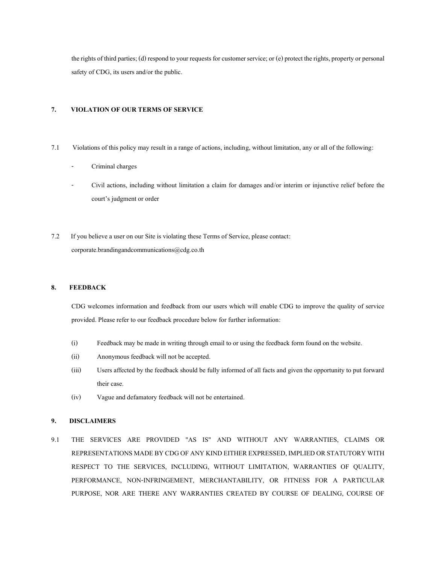the rights of third parties; (d) respond to your requests for customer service; or (e) protect the rights, property or personal safety of CDG, its users and/or the public.

# **7. VIOLATION OF OUR TERMS OF SERVICE**

- 7.1 Violations of this policy may result in a range of actions, including, without limitation, any or all of the following:
	- Criminal charges
	- Civil actions, including without limitation a claim for damages and/or interim or injunctive relief before the court's judgment or order
- 7.2 If you believe a user on our Site is violating these Terms of Service, please contact: corporate.brandingandcommunications@cdg.co.th

### **8. FEEDBACK**

CDG welcomes information and feedback from our users which will enable CDG to improve the quality of service provided. Please refer to our feedback procedure below for further information:

- (i) Feedback may be made in writing through email to or using the feedback form found on the website.
- (ii) Anonymous feedback will not be accepted.
- (iii) Users affected by the feedback should be fully informed of all facts and given the opportunity to put forward their case.
- (iv) Vague and defamatory feedback will not be entertained.

### **9. DISCLAIMERS**

9.1 THE SERVICES ARE PROVIDED "AS IS" AND WITHOUT ANY WARRANTIES, CLAIMS OR REPRESENTATIONS MADE BY CDG OF ANY KIND EITHER EXPRESSED, IMPLIED OR STATUTORY WITH RESPECT TO THE SERVICES, INCLUDING, WITHOUT LIMITATION, WARRANTIES OF QUALITY, PERFORMANCE, NON-INFRINGEMENT, MERCHANTABILITY, OR FITNESS FOR A PARTICULAR PURPOSE, NOR ARE THERE ANY WARRANTIES CREATED BY COURSE OF DEALING, COURSE OF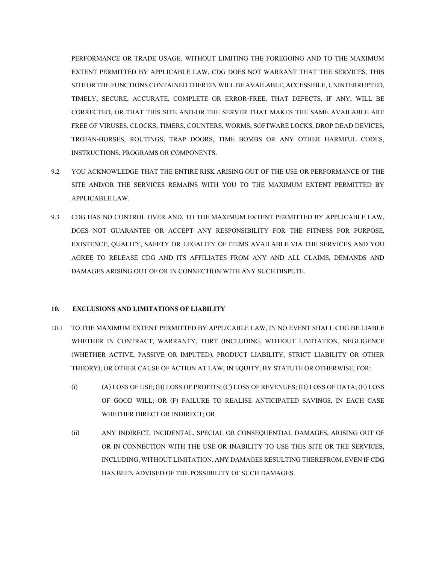PERFORMANCE OR TRADE USAGE. WITHOUT LIMITING THE FOREGOING AND TO THE MAXIMUM EXTENT PERMITTED BY APPLICABLE LAW, CDG DOES NOT WARRANT THAT THE SERVICES, THIS SITE OR THE FUNCTIONS CONTAINED THEREIN WILL BE AVAILABLE, ACCESSIBLE, UNINTERRUPTED, TIMELY, SECURE, ACCURATE, COMPLETE OR ERROR-FREE, THAT DEFECTS, IF ANY, WILL BE CORRECTED, OR THAT THIS SITE AND/OR THE SERVER THAT MAKES THE SAME AVAILABLE ARE FREE OF VIRUSES, CLOCKS, TIMERS, COUNTERS, WORMS, SOFTWARE LOCKS, DROP DEAD DEVICES, TROJAN-HORSES, ROUTINGS, TRAP DOORS, TIME BOMBS OR ANY OTHER HARMFUL CODES, INSTRUCTIONS, PROGRAMS OR COMPONENTS.

- 9.2 YOU ACKNOWLEDGE THAT THE ENTIRE RISK ARISING OUT OF THE USE OR PERFORMANCE OF THE SITE AND/OR THE SERVICES REMAINS WITH YOU TO THE MAXIMUM EXTENT PERMITTED BY APPLICABLE LAW.
- 9.3 CDG HAS NO CONTROL OVER AND, TO THE MAXIMUM EXTENT PERMITTED BY APPLICABLE LAW, DOES NOT GUARANTEE OR ACCEPT ANY RESPONSIBILITY FOR THE FITNESS FOR PURPOSE, EXISTENCE, QUALITY, SAFETY OR LEGALITY OF ITEMS AVAILABLE VIA THE SERVICES AND YOU AGREE TO RELEASE CDG AND ITS AFFILIATES FROM ANY AND ALL CLAIMS, DEMANDS AND DAMAGES ARISING OUT OF OR IN CONNECTION WITH ANY SUCH DISPUTE.

### **10. EXCLUSIONS AND LIMITATIONS OF LIABILITY**

- 10.1 TO THE MAXIMUM EXTENT PERMITTED BY APPLICABLE LAW, IN NO EVENT SHALL CDG BE LIABLE WHETHER IN CONTRACT, WARRANTY, TORT (INCLUDING, WITHOUT LIMITATION, NEGLIGENCE (WHETHER ACTIVE, PASSIVE OR IMPUTED), PRODUCT LIABILITY, STRICT LIABILITY OR OTHER THEORY), OR OTHER CAUSE OF ACTION AT LAW, IN EQUITY, BY STATUTE OR OTHERWISE, FOR:
	- (i) (A) LOSS OF USE; (B) LOSS OF PROFITS; (C) LOSS OF REVENUES; (D) LOSS OF DATA; (E) LOSS OF GOOD WILL; OR (F) FAILURE TO REALISE ANTICIPATED SAVINGS, IN EACH CASE WHETHER DIRECT OR INDIRECT; OR
	- (ii) ANY INDIRECT, INCIDENTAL, SPECIAL OR CONSEQUENTIAL DAMAGES, ARISING OUT OF OR IN CONNECTION WITH THE USE OR INABILITY TO USE THIS SITE OR THE SERVICES, INCLUDING, WITHOUT LIMITATION, ANY DAMAGES RESULTING THEREFROM, EVEN IF CDG HAS BEEN ADVISED OF THE POSSIBILITY OF SUCH DAMAGES.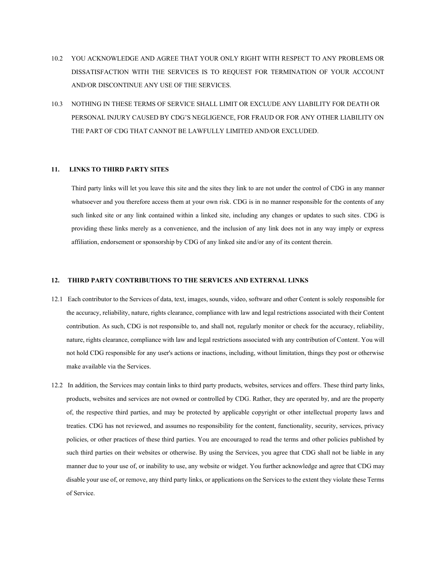- 10.2 YOU ACKNOWLEDGE AND AGREE THAT YOUR ONLY RIGHT WITH RESPECT TO ANY PROBLEMS OR DISSATISFACTION WITH THE SERVICES IS TO REQUEST FOR TERMINATION OF YOUR ACCOUNT AND/OR DISCONTINUE ANY USE OF THE SERVICES.
- 10.3 NOTHING IN THESE TERMS OF SERVICE SHALL LIMIT OR EXCLUDE ANY LIABILITY FOR DEATH OR PERSONAL INJURY CAUSED BY CDG'S NEGLIGENCE, FOR FRAUD OR FOR ANY OTHER LIABILITY ON THE PART OF CDG THAT CANNOT BE LAWFULLY LIMITED AND/OR EXCLUDED.

### **11. LINKS TO THIRD PARTY SITES**

Third party links will let you leave this site and the sites they link to are not under the control of CDG in any manner whatsoever and you therefore access them at your own risk. CDG is in no manner responsible for the contents of any such linked site or any link contained within a linked site, including any changes or updates to such sites. CDG is providing these links merely as a convenience, and the inclusion of any link does not in any way imply or express affiliation, endorsement or sponsorship by CDG of any linked site and/or any of its content therein.

### **12. THIRD PARTY CONTRIBUTIONS TO THE SERVICES AND EXTERNAL LINKS**

- 12.1 Each contributor to the Services of data, text, images, sounds, video, software and other Content is solely responsible for the accuracy, reliability, nature, rights clearance, compliance with law and legal restrictions associated with their Content contribution. As such, CDG is not responsible to, and shall not, regularly monitor or check for the accuracy, reliability, nature, rights clearance, compliance with law and legal restrictions associated with any contribution of Content. You will not hold CDG responsible for any user's actions or inactions, including, without limitation, things they post or otherwise make available via the Services.
- 12.2 In addition, the Services may contain links to third party products, websites, services and offers. These third party links, products, websites and services are not owned or controlled by CDG. Rather, they are operated by, and are the property of, the respective third parties, and may be protected by applicable copyright or other intellectual property laws and treaties. CDG has not reviewed, and assumes no responsibility for the content, functionality, security, services, privacy policies, or other practices of these third parties. You are encouraged to read the terms and other policies published by such third parties on their websites or otherwise. By using the Services, you agree that CDG shall not be liable in any manner due to your use of, or inability to use, any website or widget. You further acknowledge and agree that CDG may disable your use of, or remove, any third party links, or applications on the Services to the extent they violate these Terms of Service.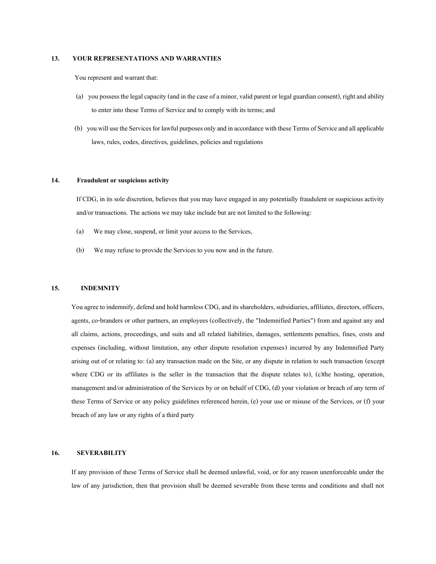### **13. YOUR REPRESENTATIONS AND WARRANTIES**

You represent and warrant that:

- (a) you possess the legal capacity (and in the case of a minor, valid parent or legal guardian consent), right and ability to enter into these Terms of Service and to comply with its terms; and
- (b) you will use the Services for lawful purposes only and in accordance with these Terms of Service and all applicable laws, rules, codes, directives, guidelines, policies and regulations

### **14. Fraudulent or suspicious activity**

If CDG, in its sole discretion, believes that you may have engaged in any potentially fraudulent or suspicious activity and/or transactions. The actions we may take include but are not limited to the following:

- (a) We may close, suspend, or limit your access to the Services,
- (b) We may refuse to provide the Services to you now and in the future.

#### **15. INDEMNITY**

You agree to indemnify, defend and hold harmless CDG, and its shareholders, subsidiaries, affiliates, directors, officers, agents, co-branders or other partners, an employees (collectively, the "Indemnified Parties") from and against any and all claims, actions, proceedings, and suits and all related liabilities, damages, settlements penalties, fines, costs and expenses (including, without limitation, any other dispute resolution expenses) incurred by any Indemnified Party arising out of or relating to: (a) any transaction made on the Site, or any dispute in relation to such transaction (except where CDG or its affiliates is the seller in the transaction that the dispute relates to), (c) the hosting, operation, management and/or administration of the Services by or on behalf of CDG, (d) your violation or breach of any term of these Terms of Service or any policy guidelines referenced herein, (e) your use or misuse of the Services, or (f) your breach of any law or any rights of a third party

#### **16. SEVERABILITY**

If any provision of these Terms of Service shall be deemed unlawful, void, or for any reason unenforceable under the law of any jurisdiction, then that provision shall be deemed severable from these terms and conditions and shall not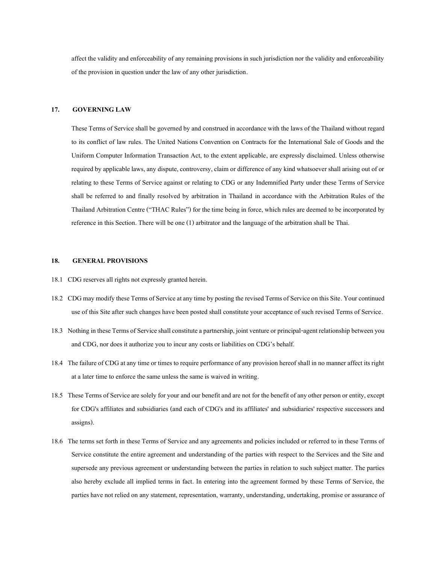affect the validity and enforceability of any remaining provisions in such jurisdiction nor the validity and enforceability of the provision in question under the law of any other jurisdiction.

# **17. GOVERNING LAW**

These Terms of Service shall be governed by and construed in accordance with the laws of the Thailand without regard to its conflict of law rules. The United Nations Convention on Contracts for the International Sale of Goods and the Uniform Computer Information Transaction Act, to the extent applicable, are expressly disclaimed. Unless otherwise required by applicable laws, any dispute, controversy, claim or difference of any kind whatsoever shall arising out of or relating to these Terms of Service against or relating to CDG or any Indemnified Party under these Terms of Service shall be referred to and finally resolved by arbitration in Thailand in accordance with the Arbitration Rules of the Thailand Arbitration Centre ("THAC Rules") for the time being in force, which rules are deemed to be incorporated by reference in this Section. There will be one (1) arbitrator and the language of the arbitration shall be Thai.

## **18. GENERAL PROVISIONS**

- 18.1 CDG reserves all rights not expressly granted herein.
- 18.2 CDG may modify these Terms of Service at any time by posting the revised Terms of Service on this Site. Your continued use of this Site after such changes have been posted shall constitute your acceptance of such revised Terms of Service.
- 18.3 Nothing in these Terms of Service shall constitute a partnership, joint venture or principal-agent relationship between you and CDG, nor does it authorize you to incur any costs or liabilities on CDG's behalf.
- 18.4 The failure of CDG at any time or times to require performance of any provision hereof shall in no manner affect its right at a later time to enforce the same unless the same is waived in writing.
- 18.5 These Terms of Service are solely for your and our benefit and are not for the benefit of any other person or entity, except for CDG's affiliates and subsidiaries (and each of CDG's and its affiliates' and subsidiaries' respective successors and assigns).
- 18.6 The terms set forth in these Terms of Service and any agreements and policies included or referred to in these Terms of Service constitute the entire agreement and understanding of the parties with respect to the Services and the Site and supersede any previous agreement or understanding between the parties in relation to such subject matter. The parties also hereby exclude all implied terms in fact. In entering into the agreement formed by these Terms of Service, the parties have not relied on any statement, representation, warranty, understanding, undertaking, promise or assurance of